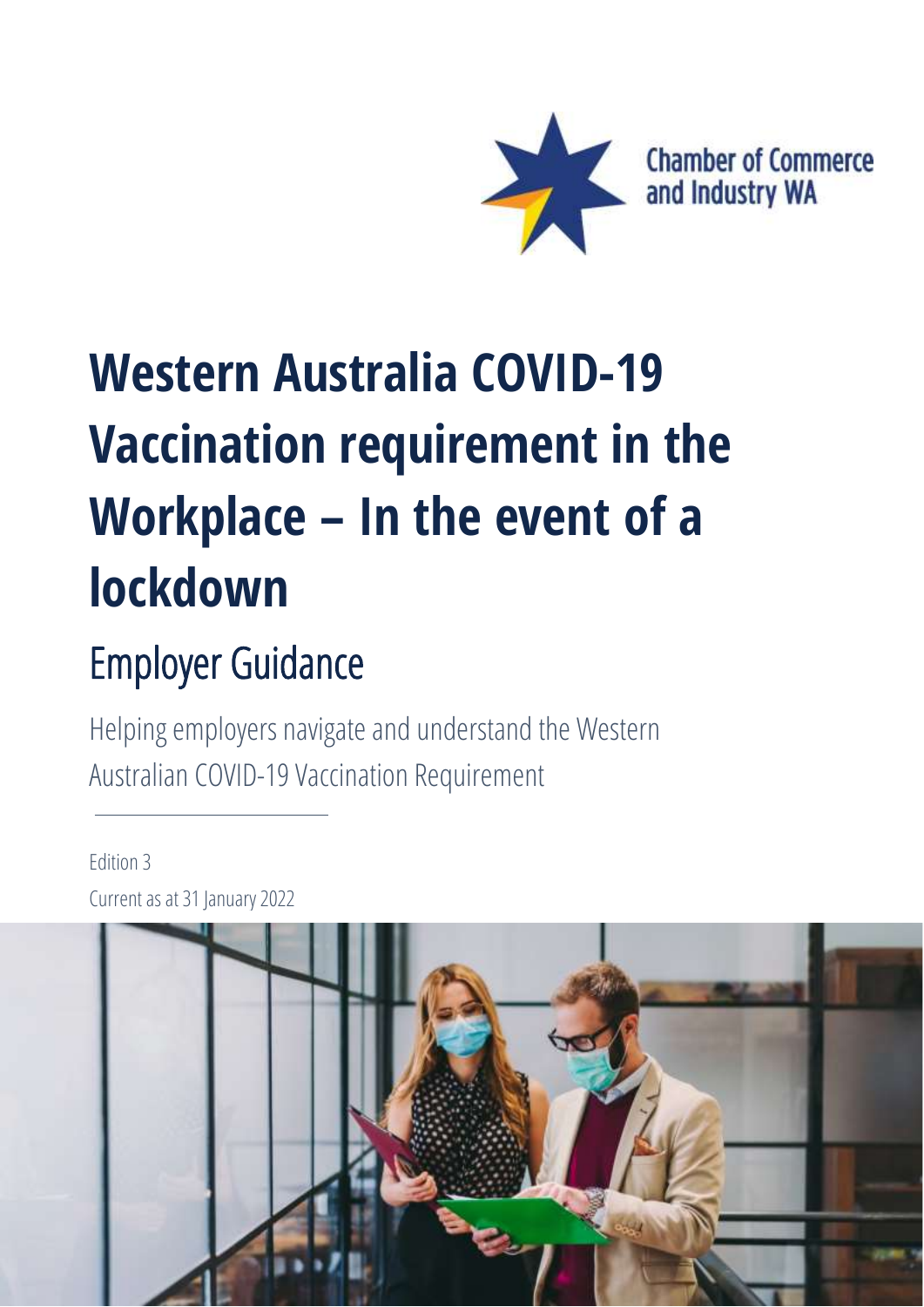

# **Western Australia COVID-19 Vaccination requirement in the Workplace – In the event of a lockdown**

# Employer Guidance

Helping employers navigate and understand the Western Australian COVID-19 Vaccination Requirement

### Edition 3 Current as at 31 January 2022

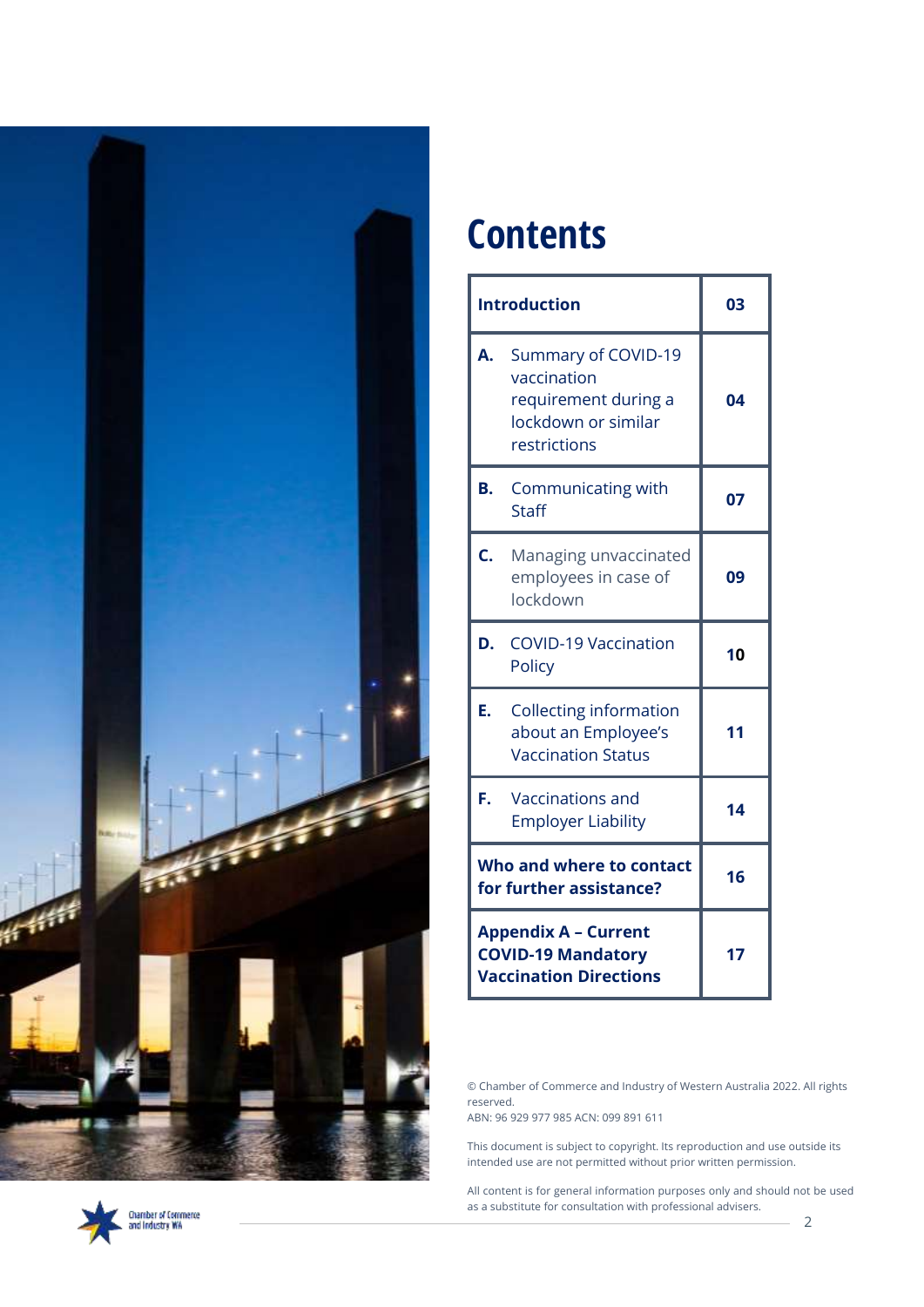

# Chamber of Commerce<br>and Industry WA

## **Contents**

| <b>Introduction</b>                                                                       | 03                                                                                                |    |
|-------------------------------------------------------------------------------------------|---------------------------------------------------------------------------------------------------|----|
| A.                                                                                        | Summary of COVID-19<br>vaccination<br>requirement during a<br>lockdown or similar<br>restrictions | 04 |
| B.                                                                                        | Communicating with<br><b>Staff</b>                                                                | 07 |
| Ċ.                                                                                        | Managing unvaccinated<br>employees in case of<br>lockdown                                         | 09 |
| D.                                                                                        | <b>COVID-19 Vaccination</b><br>Policy                                                             | 10 |
| Е.                                                                                        | <b>Collecting information</b><br>about an Employee's<br><b>Vaccination Status</b>                 | 11 |
| F.                                                                                        | Vaccinations and<br><b>Employer Liability</b>                                                     | 14 |
| Who and where to contact<br>for further assistance?                                       | 16                                                                                                |    |
| <b>Appendix A - Current</b><br><b>COVID-19 Mandatory</b><br><b>Vaccination Directions</b> | 17                                                                                                |    |

© Chamber of Commerce and Industry of Western Australia 2022. All rights reserved.

ABN: 96 929 977 985 ACN: 099 891 611

This document is subject to copyright. Its reproduction and use outside its intended use are not permitted without prior written permission.

All content is for general information purposes only and should not be used as a substitute for consultation with professional advisers.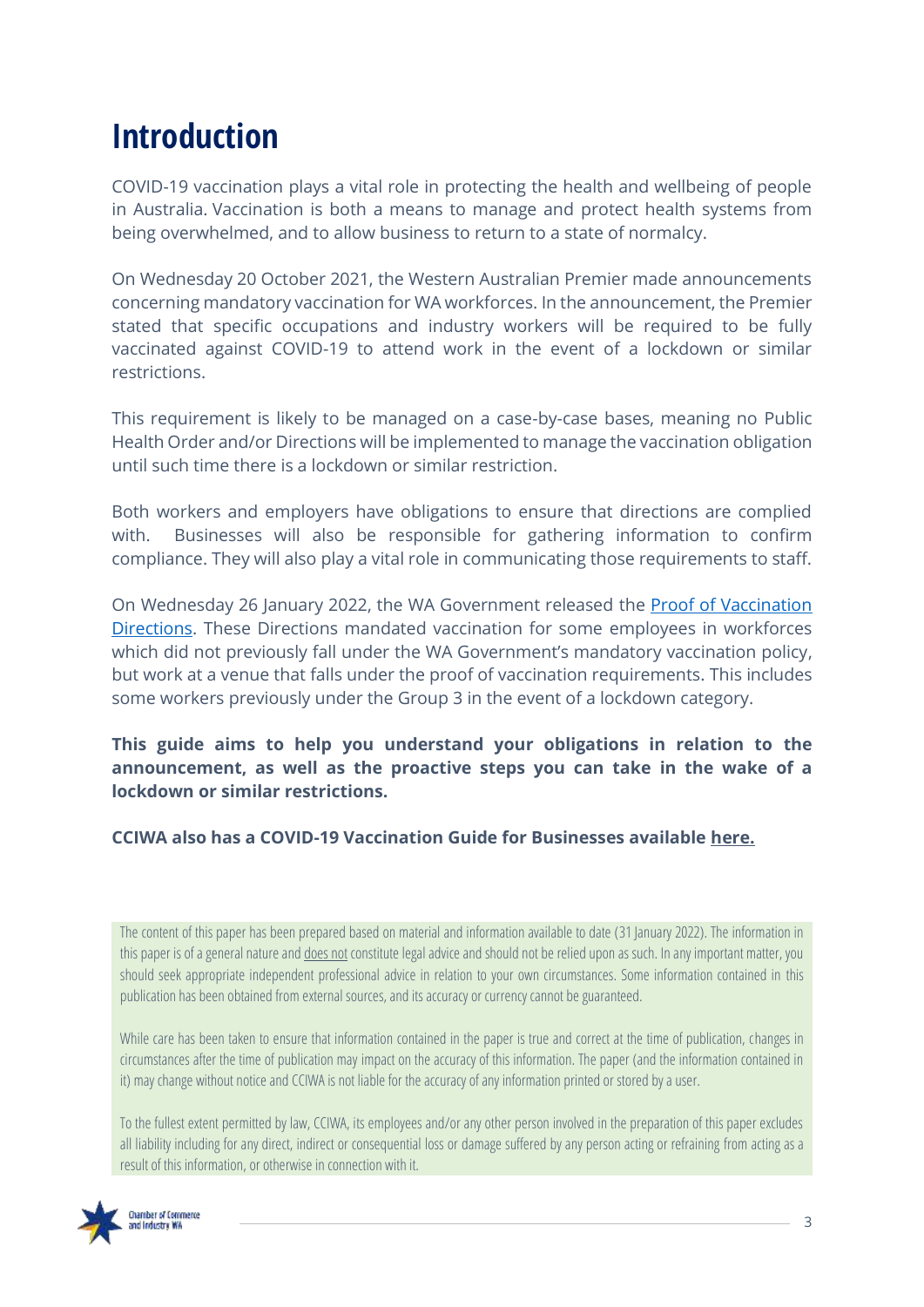## **Introduction**

COVID-19 vaccination plays a vital role in protecting the health and wellbeing of people in Australia. Vaccination is both a means to manage and protect health systems from being overwhelmed, and to allow business to return to a state of normalcy.

On Wednesday 20 October 2021, the Western Australian Premier made announcements concerning mandatory vaccination for WA workforces. In the announcement, the Premier stated that specific occupations and industry workers will be required to be fully vaccinated against COVID-19 to attend work in the event of a lockdown or similar restrictions.

This requirement is likely to be managed on a case-by-case bases, meaning no Public Health Order and/or Directions will be implemented to manage the vaccination obligation until such time there is a lockdown or similar restriction.

Both workers and employers have obligations to ensure that directions are complied with. Businesses will also be responsible for gathering information to confirm compliance. They will also play a vital role in communicating those requirements to staff.

On Wednesday 26 January 2022, the WA Government released the [Proof of Vaccination](https://www.wa.gov.au/government/announcements/proof-of-covid-19-vaccination-expand-state-wide-monday-31-january#:~:text=Based%20on%20the%20latest%20health,events%20in%20Perth%20and%20Peel.)  [Directions.](https://www.wa.gov.au/government/announcements/proof-of-covid-19-vaccination-expand-state-wide-monday-31-january#:~:text=Based%20on%20the%20latest%20health,events%20in%20Perth%20and%20Peel.) These Directions mandated vaccination for some employees in workforces which did not previously fall under the WA Government's mandatory vaccination policy, but work at a venue that falls under the proof of vaccination requirements. This includes some workers previously under the Group 3 in the event of a lockdown category.

**This guide aims to help you understand your obligations in relation to the announcement, as well as the proactive steps you can take in the wake of a lockdown or similar restrictions.**

#### **CCIWA also has a COVID-19 Vaccination Guide for Businesses available [here.](https://cciwa.com/business-pulse/cciwa-releases-covid-19-vaccine-guide-for-business/?utm_source=landing+page&utm_medium=PDF&utm_campaign=wa_vaccination_guide)**

The content of this paper has been prepared based on material and information available to date (31 January 2022). The information in this paper is of a general nature and *does not constitute legal advice and should not be relied upon as such. In any important matter, you* should seek appropriate independent professional advice in relation to your own circumstances. Some information contained in this publication has been obtained from external sources, and its accuracy or currency cannot be guaranteed.

While care has been taken to ensure that information contained in the paper is true and correct at the time of publication, changes in circumstances after the time of publication may impact on the accuracy of this information. The paper (and the information contained in it) may change without notice and CCIWA is not liable for the accuracy of any information printed or stored by a user.

To the fullest extent permitted by law, CCIWA, its employees and/or any other person involved in the preparation of this paper excludes all liability including for any direct, indirect or consequential loss or damage suffered by any person acting or refraining from acting as a result of this information, or otherwise in connection with it.

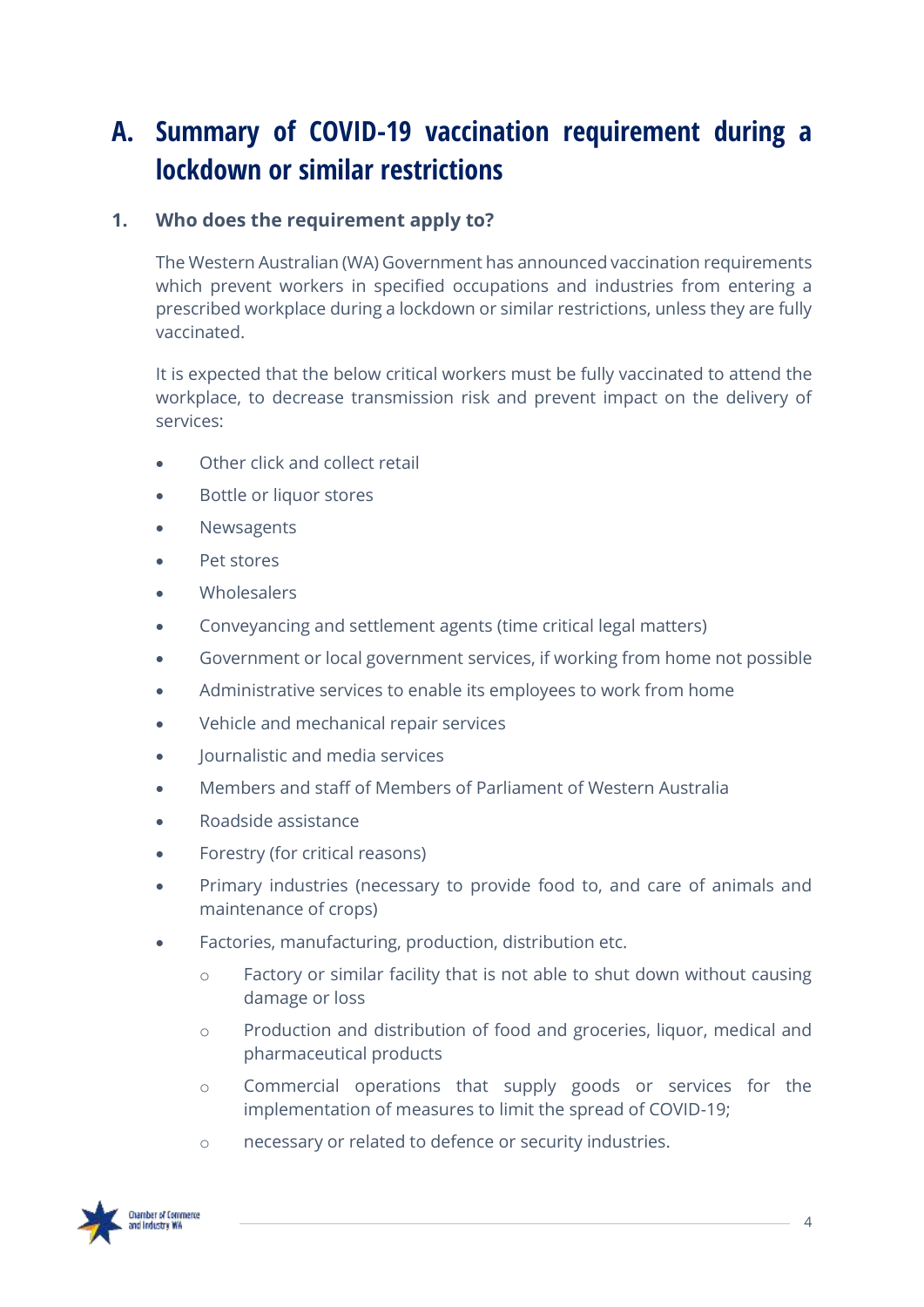### <span id="page-3-0"></span>**A. Summary of COVID-19 vaccination requirement during a lockdown or similar restrictions**

### **1. Who does the requirement apply to?**

The Western Australian (WA) Government has announced vaccination requirements which prevent workers in specified occupations and industries from entering a prescribed workplace during a lockdown or similar restrictions, unless they are fully vaccinated.

It is expected that the below critical workers must be fully vaccinated to attend the workplace, to decrease transmission risk and prevent impact on the delivery of services:

- Other click and collect retail
- Bottle or liquor stores
- Newsagents
- Pet stores
- **Wholesalers**
- Conveyancing and settlement agents (time critical legal matters)
- Government or local government services, if working from home not possible
- Administrative services to enable its employees to work from home
- Vehicle and mechanical repair services
- Journalistic and media services
- Members and staff of Members of Parliament of Western Australia
- Roadside assistance
- Forestry (for critical reasons)
- Primary industries (necessary to provide food to, and care of animals and maintenance of crops)
- Factories, manufacturing, production, distribution etc.
	- o Factory or similar facility that is not able to shut down without causing damage or loss
	- o Production and distribution of food and groceries, liquor, medical and pharmaceutical products
	- o Commercial operations that supply goods or services for the implementation of measures to limit the spread of COVID-19;
	- o necessary or related to defence or security industries.

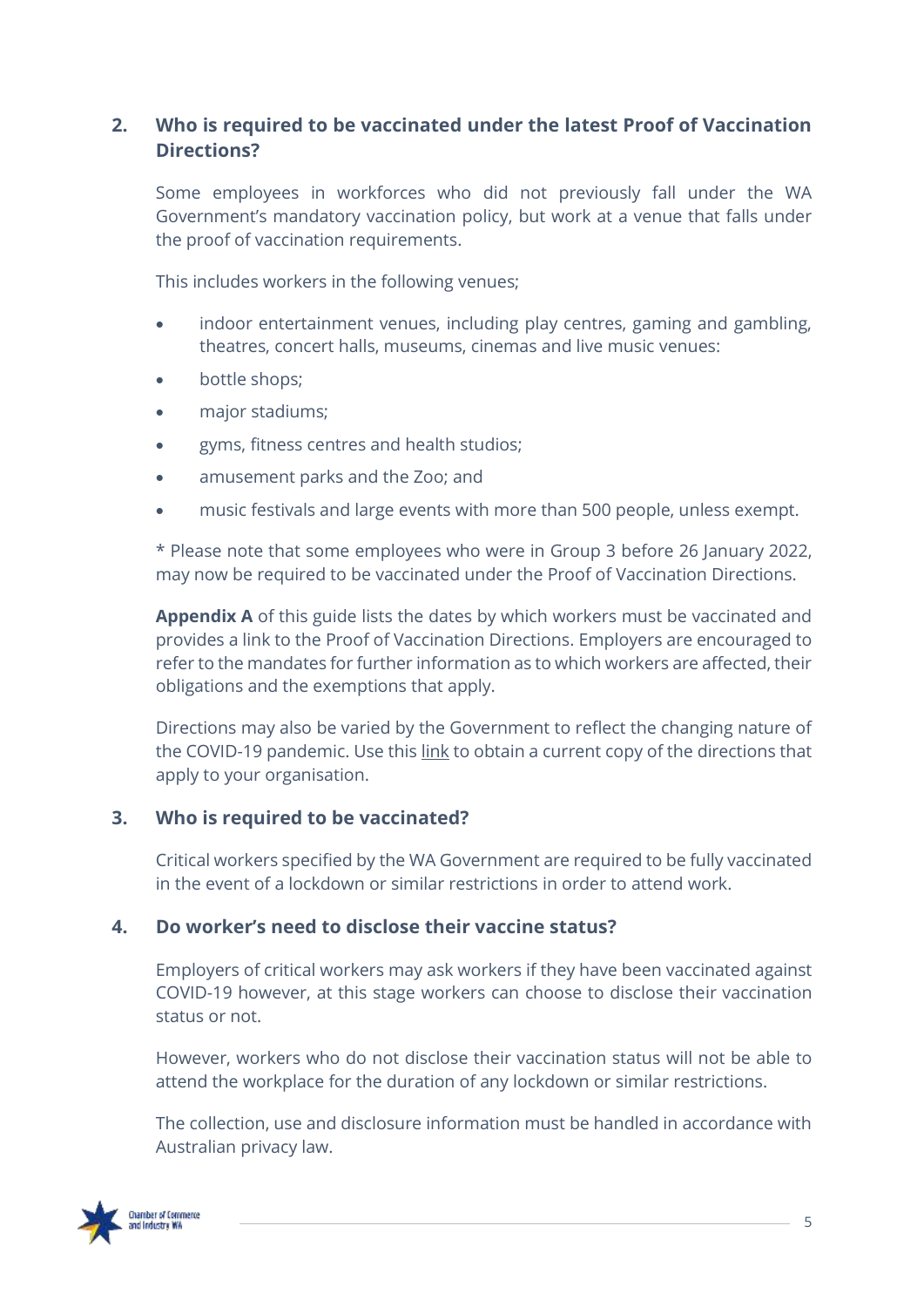### **2. Who is required to be vaccinated under the latest Proof of Vaccination Directions?**

Some employees in workforces who did not previously fall under the WA Government's mandatory vaccination policy, but work at a venue that falls under the proof of vaccination requirements.

This includes workers in the following venues;

- indoor entertainment venues, including play centres, gaming and gambling, theatres, concert halls, museums, cinemas and live music venues:
- bottle shops;
- major stadiums;
- gyms, fitness centres and health studios;
- amusement parks and the Zoo; and
- music festivals and large events with more than 500 people, unless exempt.

\* Please note that some employees who were in Group 3 before 26 January 2022, may now be required to be vaccinated under the Proof of Vaccination Directions.

**Appendix A** of this guide lists the dates by which workers must be vaccinated and provides a link to the Proof of Vaccination Directions. Employers are encouraged to refer to the mandates for further information as to which workers are affected, their obligations and the exemptions that apply.

Directions may also be varied by the Government to reflect the changing nature of the COVID-19 pandemic. Use this [link](https://www.wa.gov.au/government/document-collections/covid-19-coronavirus-mandatory-vaccination) to obtain a current copy of the directions that apply to your organisation.

### **3. Who is required to be vaccinated?**

Critical workers specified by the WA Government are required to be fully vaccinated in the event of a lockdown or similar restrictions in order to attend work.

#### **4. Do worker's need to disclose their vaccine status?**

Employers of critical workers may ask workers if they have been vaccinated against COVID-19 however, at this stage workers can choose to disclose their vaccination status or not.

However, workers who do not disclose their vaccination status will not be able to attend the workplace for the duration of any lockdown or similar restrictions.

The collection, use and disclosure information must be handled in accordance with Australian privacy law.

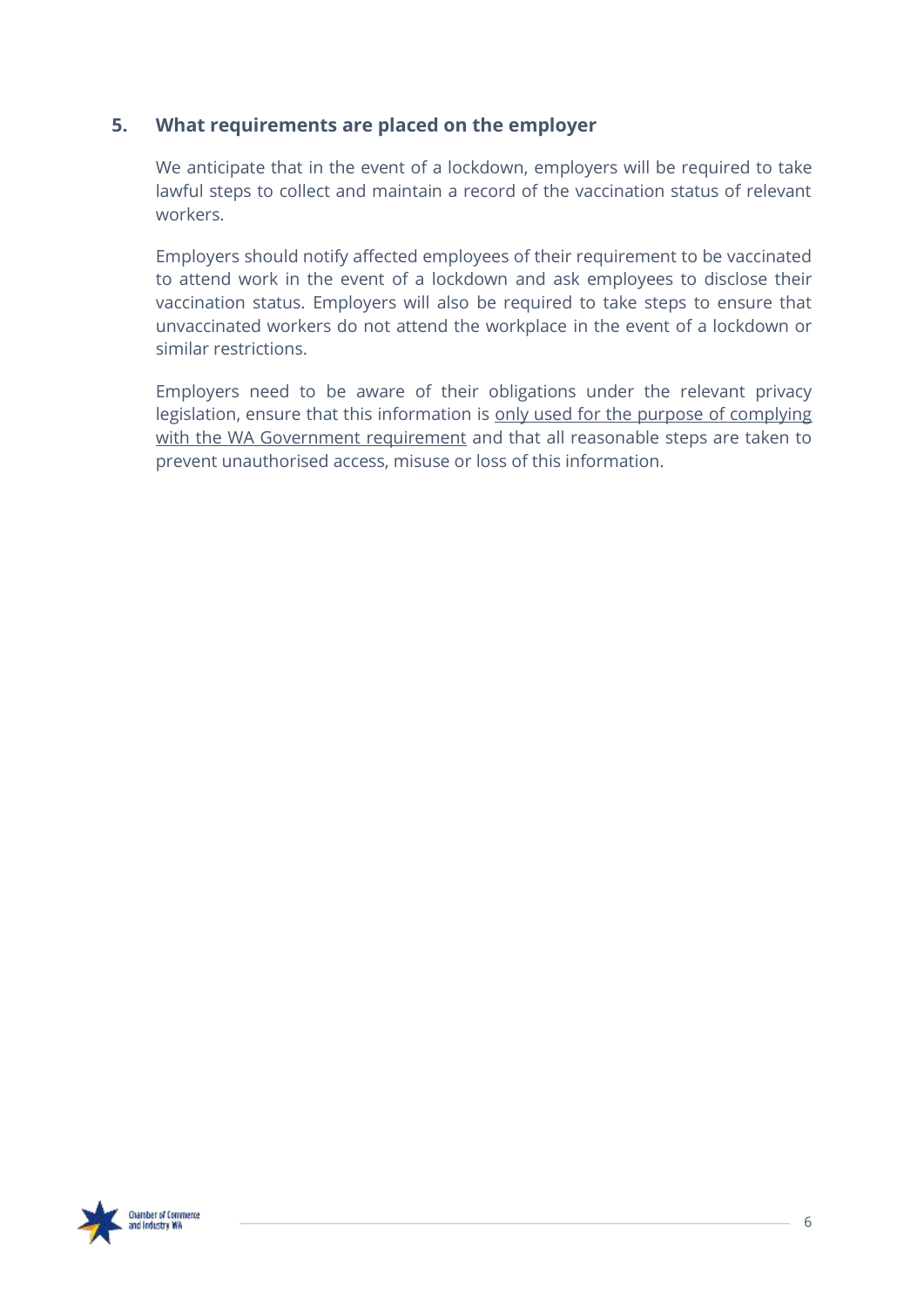### **5. What requirements are placed on the employer**

We anticipate that in the event of a lockdown, employers will be required to take lawful steps to collect and maintain a record of the vaccination status of relevant workers.

Employers should notify affected employees of their requirement to be vaccinated to attend work in the event of a lockdown and ask employees to disclose their vaccination status. Employers will also be required to take steps to ensure that unvaccinated workers do not attend the workplace in the event of a lockdown or similar restrictions.

Employers need to be aware of their obligations under the relevant privacy legislation, ensure that this information is only used for the purpose of complying with the WA Government requirement and that all reasonable steps are taken to prevent unauthorised access, misuse or loss of this information.

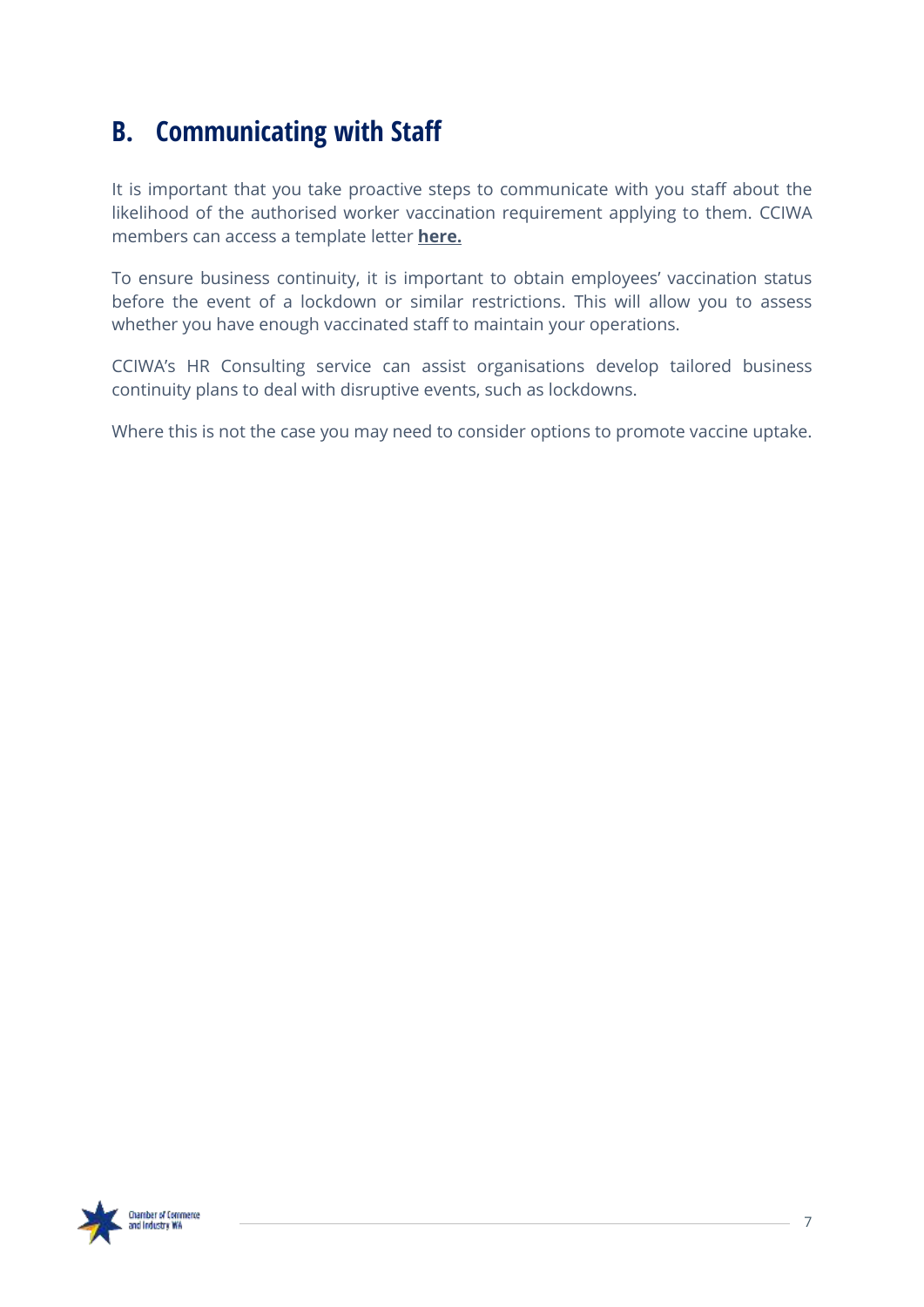### <span id="page-6-0"></span>**B. Communicating with Staff**

It is important that you take proactive steps to communicate with you staff about the likelihood of the authorised worker vaccination requirement applying to them. CCIWA members can access a template letter **[here.](https://cciwa.com/covid-19-support/)**

To ensure business continuity, it is important to obtain employees' vaccination status before the event of a lockdown or similar restrictions. This will allow you to assess whether you have enough vaccinated staff to maintain your operations.

CCIWA's HR Consulting service can assist organisations develop tailored business continuity plans to deal with disruptive events, such as lockdowns.

Where this is not the case you may need to consider options to promote vaccine uptake.

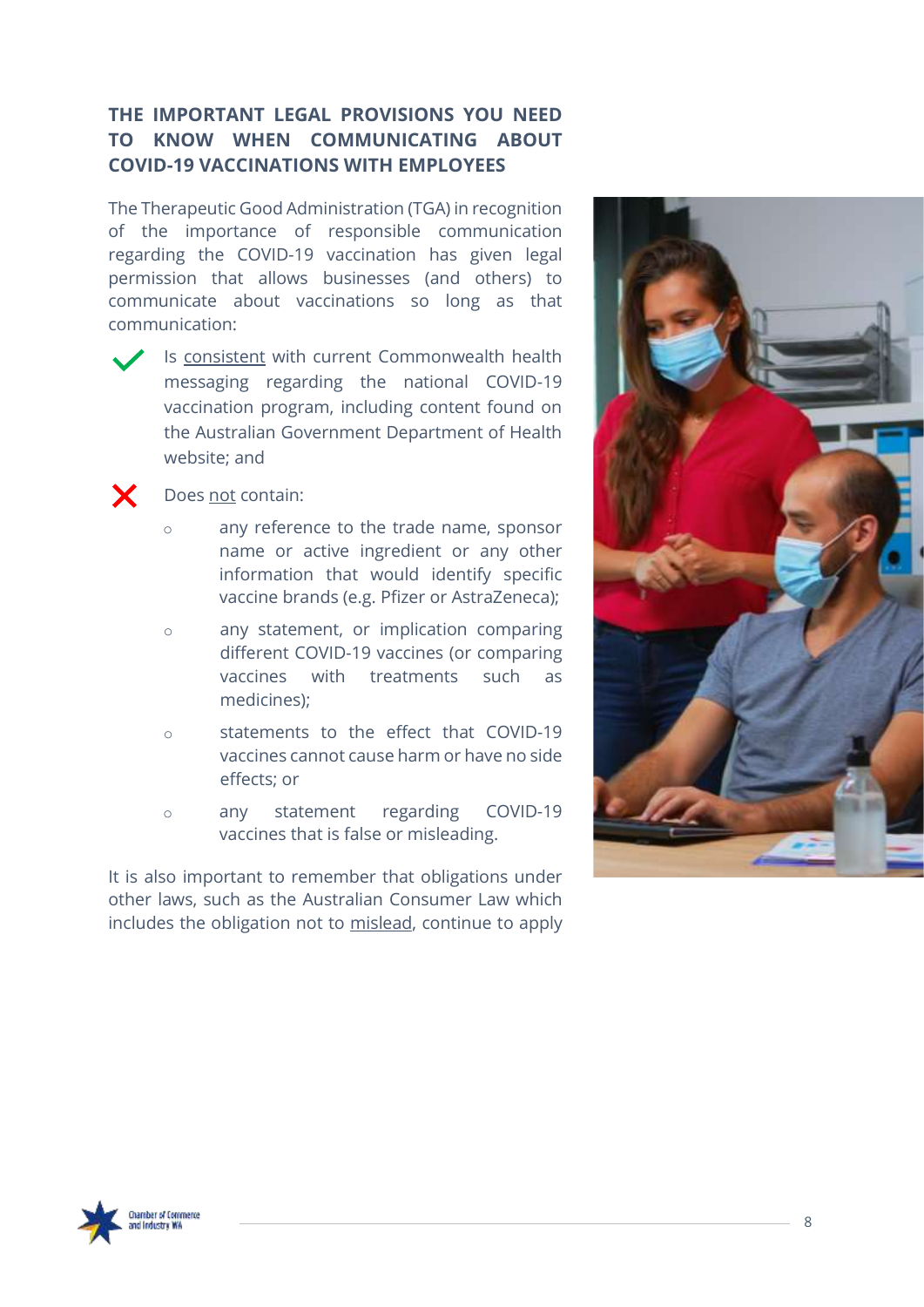### **THE IMPORTANT LEGAL PROVISIONS YOU NEED TO KNOW WHEN COMMUNICATING ABOUT COVID-19 VACCINATIONS WITH EMPLOYEES**

The Therapeutic Good Administration (TGA) in recognition of the importance of responsible communication regarding the COVID-19 vaccination has given legal permission that allows businesses (and others) to communicate about vaccinations so long as that communication:

Is consistent with current Commonwealth health messaging regarding the national COVID-19 vaccination program, including content found on the Australian Government Department of Health website; and



#### Does not contain:

- o any reference to the trade name, sponsor name or active ingredient or any other information that would identify specific vaccine brands (e.g. Pfizer or AstraZeneca);
- o any statement, or implication comparing different COVID-19 vaccines (or comparing vaccines with treatments such as medicines);
- o statements to the effect that COVID-19 vaccines cannot cause harm or have no side effects; or
- o any statement regarding COVID-19 vaccines that is false or misleading.

It is also important to remember that obligations under other laws, such as the Australian Consumer Law which includes the obligation not to mislead, continue to apply



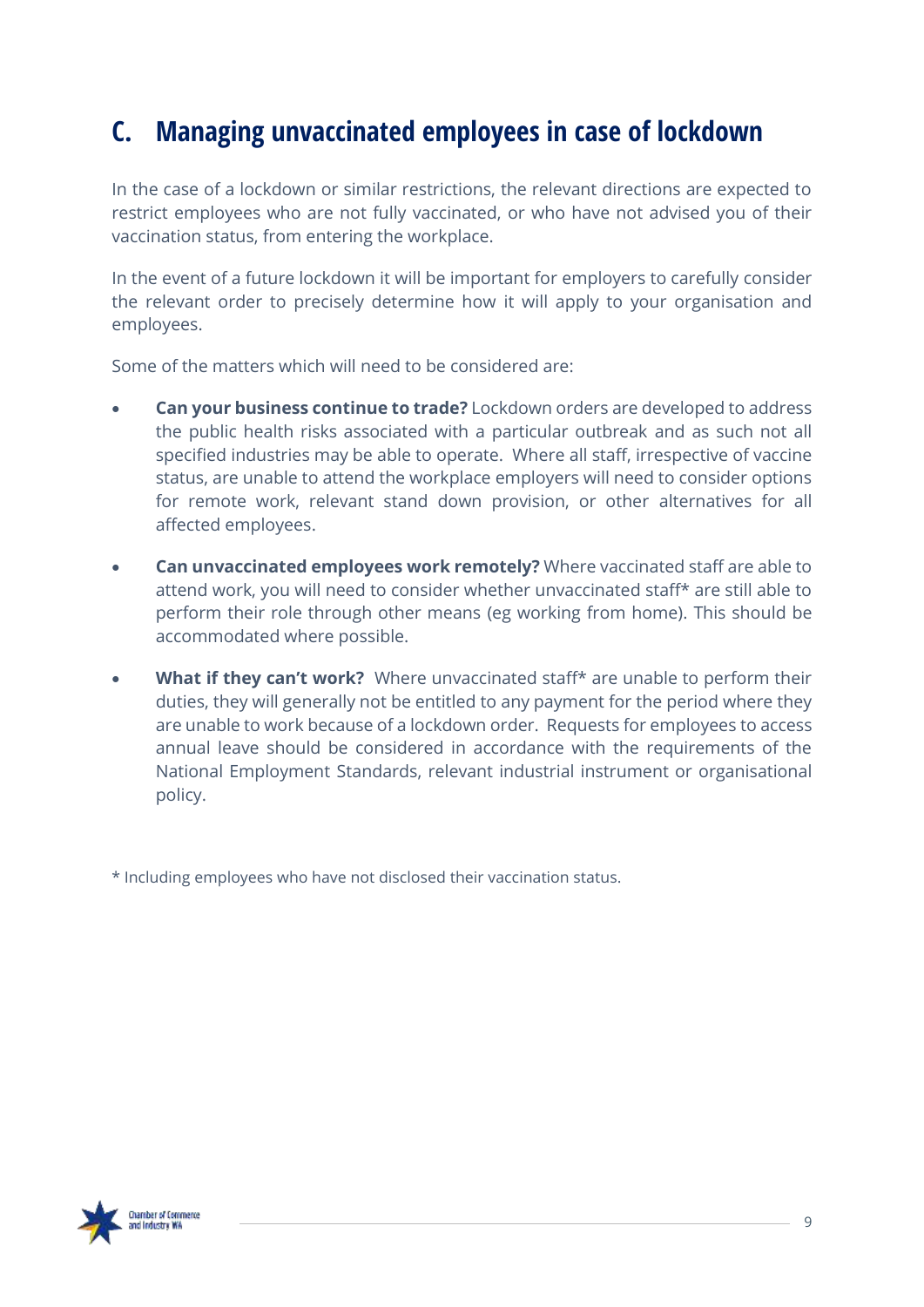### <span id="page-8-0"></span>**C. Managing unvaccinated employees in case of lockdown**

In the case of a lockdown or similar restrictions, the relevant directions are expected to restrict employees who are not fully vaccinated, or who have not advised you of their vaccination status, from entering the workplace.

In the event of a future lockdown it will be important for employers to carefully consider the relevant order to precisely determine how it will apply to your organisation and employees.

Some of the matters which will need to be considered are:

- **Can your business continue to trade?** Lockdown orders are developed to address the public health risks associated with a particular outbreak and as such not all specified industries may be able to operate. Where all staff, irrespective of vaccine status, are unable to attend the workplace employers will need to consider options for remote work, relevant stand down provision, or other alternatives for all affected employees.
- **Can unvaccinated employees work remotely?** Where vaccinated staff are able to attend work, you will need to consider whether unvaccinated staff\* are still able to perform their role through other means (eg working from home). This should be accommodated where possible.
- **What if they can't work?** Where unvaccinated staff\* are unable to perform their duties, they will generally not be entitled to any payment for the period where they are unable to work because of a lockdown order. Requests for employees to access annual leave should be considered in accordance with the requirements of the National Employment Standards, relevant industrial instrument or organisational policy.

\* Including employees who have not disclosed their vaccination status.

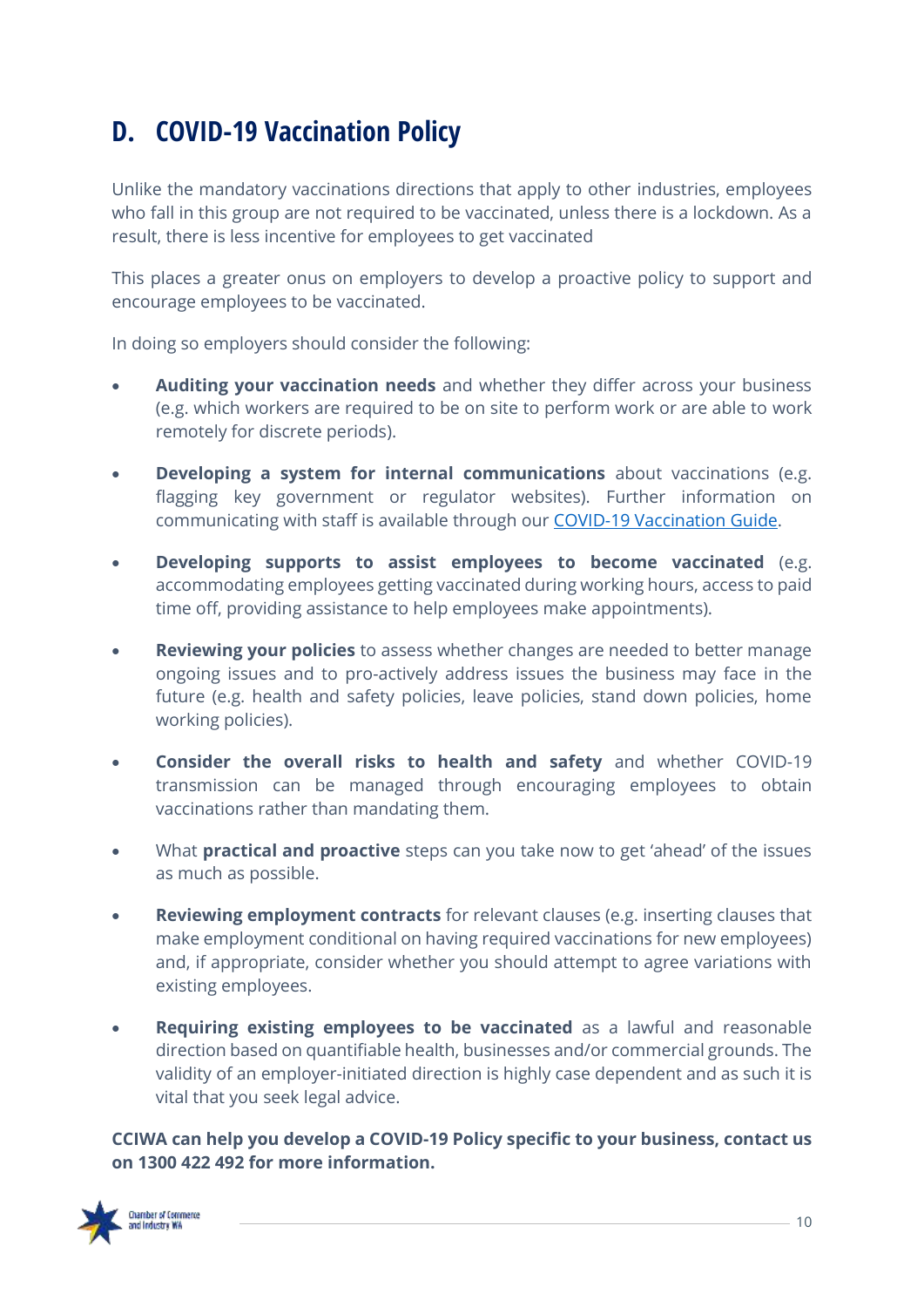### <span id="page-9-0"></span>**D. COVID-19 Vaccination Policy**

Unlike the mandatory vaccinations directions that apply to other industries, employees who fall in this group are not required to be vaccinated, unless there is a lockdown. As a result, there is less incentive for employees to get vaccinated

This places a greater onus on employers to develop a proactive policy to support and encourage employees to be vaccinated.

In doing so employers should consider the following:

- **Auditing your vaccination needs** and whether they differ across your business (e.g. which workers are required to be on site to perform work or are able to work remotely for discrete periods).
- **Developing a system for internal communications** about vaccinations (e.g. flagging key government or regulator websites). Further information on communicating with staff is available through our [COVID-19 Vaccination Guide.](https://covid19.cciwa.com/clkn/https/cciwa.com/wp-content/uploads/2021/08/ACCI-Vaccine-Guide-CCIWA-Amended-16-Aug-21.pdf)
- **Developing supports to assist employees to become vaccinated** (e.g. accommodating employees getting vaccinated during working hours, access to paid time off, providing assistance to help employees make appointments).
- **Reviewing your policies** to assess whether changes are needed to better manage ongoing issues and to pro-actively address issues the business may face in the future (e.g. health and safety policies, leave policies, stand down policies, home working policies).
- **Consider the overall risks to health and safety** and whether COVID-19 transmission can be managed through encouraging employees to obtain vaccinations rather than mandating them.
- What **practical and proactive** steps can you take now to get 'ahead' of the issues as much as possible.
- **Reviewing employment contracts** for relevant clauses (e.g. inserting clauses that make employment conditional on having required vaccinations for new employees) and, if appropriate, consider whether you should attempt to agree variations with existing employees.
- **Requiring existing employees to be vaccinated** as a lawful and reasonable direction based on quantifiable health, businesses and/or commercial grounds. The validity of an employer-initiated direction is highly case dependent and as such it is vital that you seek legal advice.

**CCIWA can help you develop a COVID-19 Policy specific to your business, contact us on 1300 422 492 for more information.**

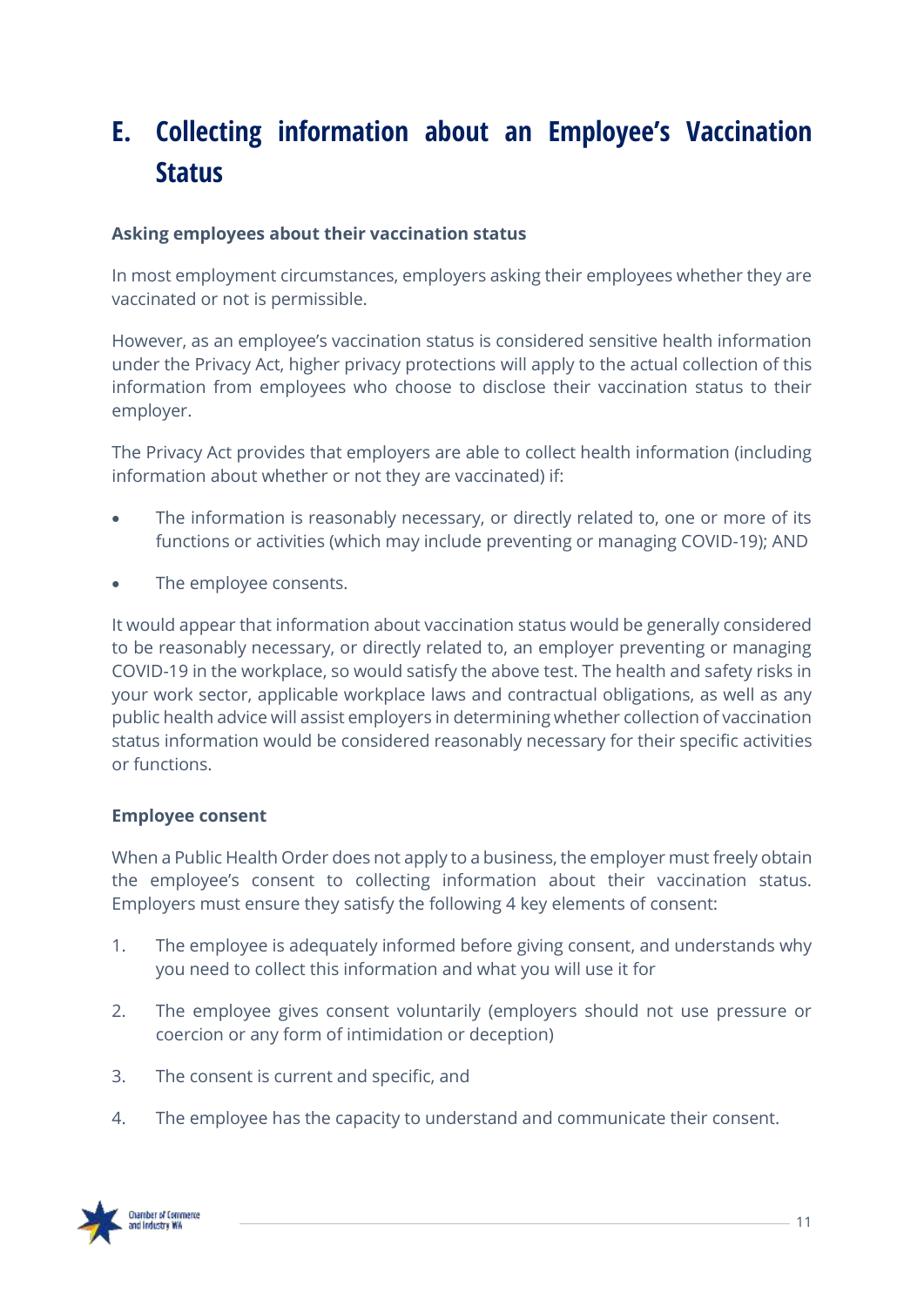### <span id="page-10-0"></span>**E. Collecting information about an Employee's Vaccination Status**

#### **Asking employees about their vaccination status**

In most employment circumstances, employers asking their employees whether they are vaccinated or not is permissible.

However, as an employee's vaccination status is considered sensitive health information under the Privacy Act, higher privacy protections will apply to the actual collection of this information from employees who choose to disclose their vaccination status to their employer.

The Privacy Act provides that employers are able to collect health information (including information about whether or not they are vaccinated) if:

- The information is reasonably necessary, or directly related to, one or more of its functions or activities (which may include preventing or managing COVID-19); AND
- The employee consents.

It would appear that information about vaccination status would be generally considered to be reasonably necessary, or directly related to, an employer preventing or managing COVID-19 in the workplace, so would satisfy the above test. The health and safety risks in your work sector, applicable workplace laws and contractual obligations, as well as any public health advice will assist employers in determining whether collection of vaccination status information would be considered reasonably necessary for their specific activities or functions.

#### **Employee consent**

When a Public Health Order does not apply to a business, the employer must freely obtain the employee's consent to collecting information about their vaccination status. Employers must ensure they satisfy the following 4 key elements of consent:

- 1. The employee is adequately informed before giving consent, and understands why you need to collect this information and what you will use it for
- 2. The employee gives consent voluntarily (employers should not use pressure or coercion or any form of intimidation or deception)
- 3. The consent is current and specific, and
- 4. The employee has the capacity to understand and communicate their consent.

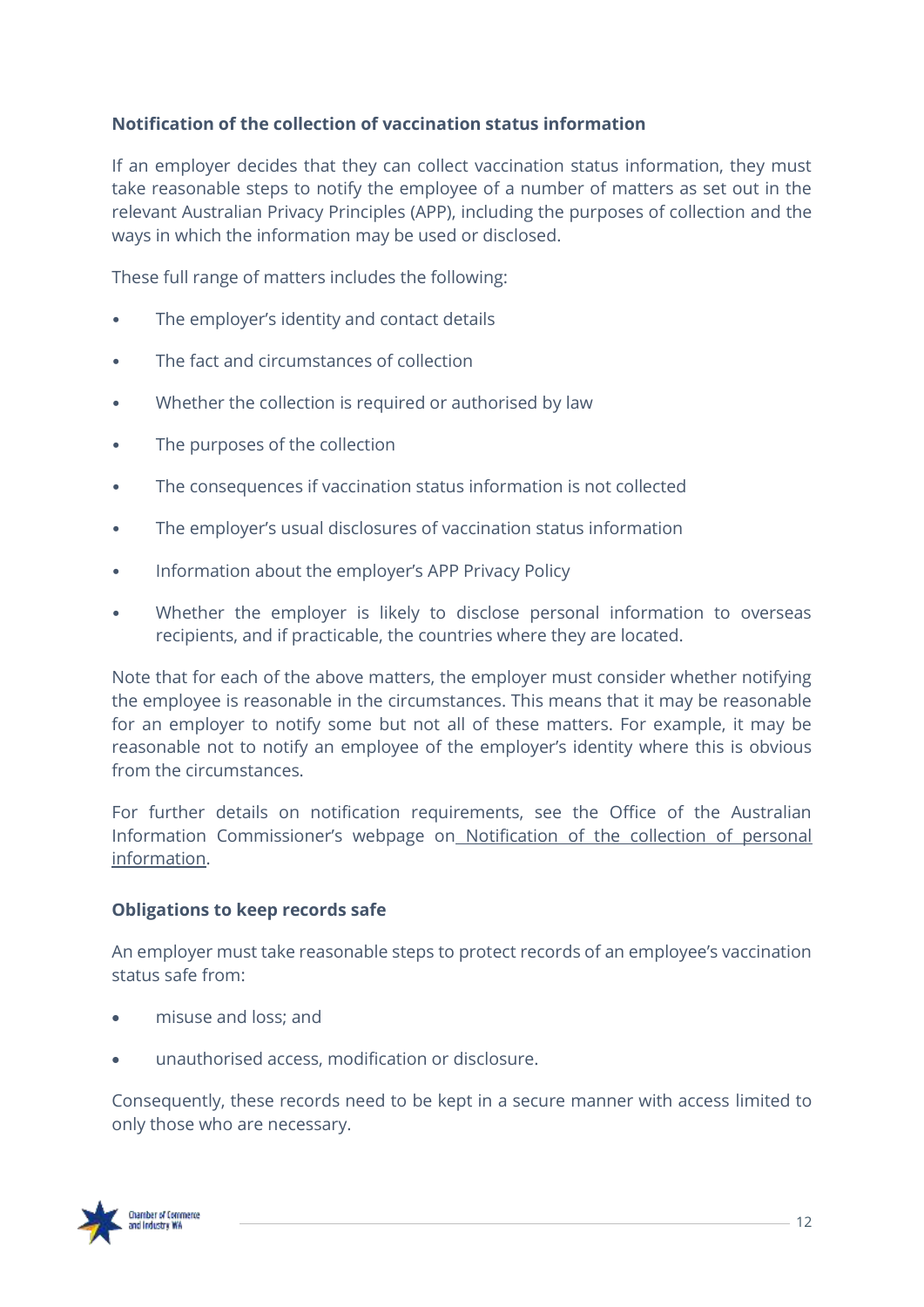#### **Notification of the collection of vaccination status information**

If an employer decides that they can collect vaccination status information, they must take reasonable steps to notify the employee of a number of matters as set out in the relevant Australian Privacy Principles (APP), including the purposes of collection and the ways in which the information may be used or disclosed.

These full range of matters includes the following:

- The employer's identity and contact details
- The fact and circumstances of collection
- Whether the collection is required or authorised by law
- The purposes of the collection
- The consequences if vaccination status information is not collected
- The employer's usual disclosures of vaccination status information
- Information about the employer's APP Privacy Policy
- Whether the employer is likely to disclose personal information to overseas recipients, and if practicable, the countries where they are located.

Note that for each of the above matters, the employer must consider whether notifying the employee is reasonable in the circumstances. This means that it may be reasonable for an employer to notify some but not all of these matters. For example, it may be reasonable not to notify an employee of the employer's identity where this is obvious from the circumstances.

For further details on notification requirements, see the Office of the Australian Information Commissioner's webpage on [Notification of the collection of personal](https://www.oaic.gov.au/privacy/australian-privacy-principles-guidelines/chapter-5-app-5-notification-of-the-collection-of-personal-information/)  [information.](https://www.oaic.gov.au/privacy/australian-privacy-principles-guidelines/chapter-5-app-5-notification-of-the-collection-of-personal-information/)

#### **Obligations to keep records safe**

An employer must take reasonable steps to protect records of an employee's vaccination status safe from:

- misuse and loss; and
- unauthorised access, modification or disclosure.

Consequently, these records need to be kept in a secure manner with access limited to only those who are necessary.

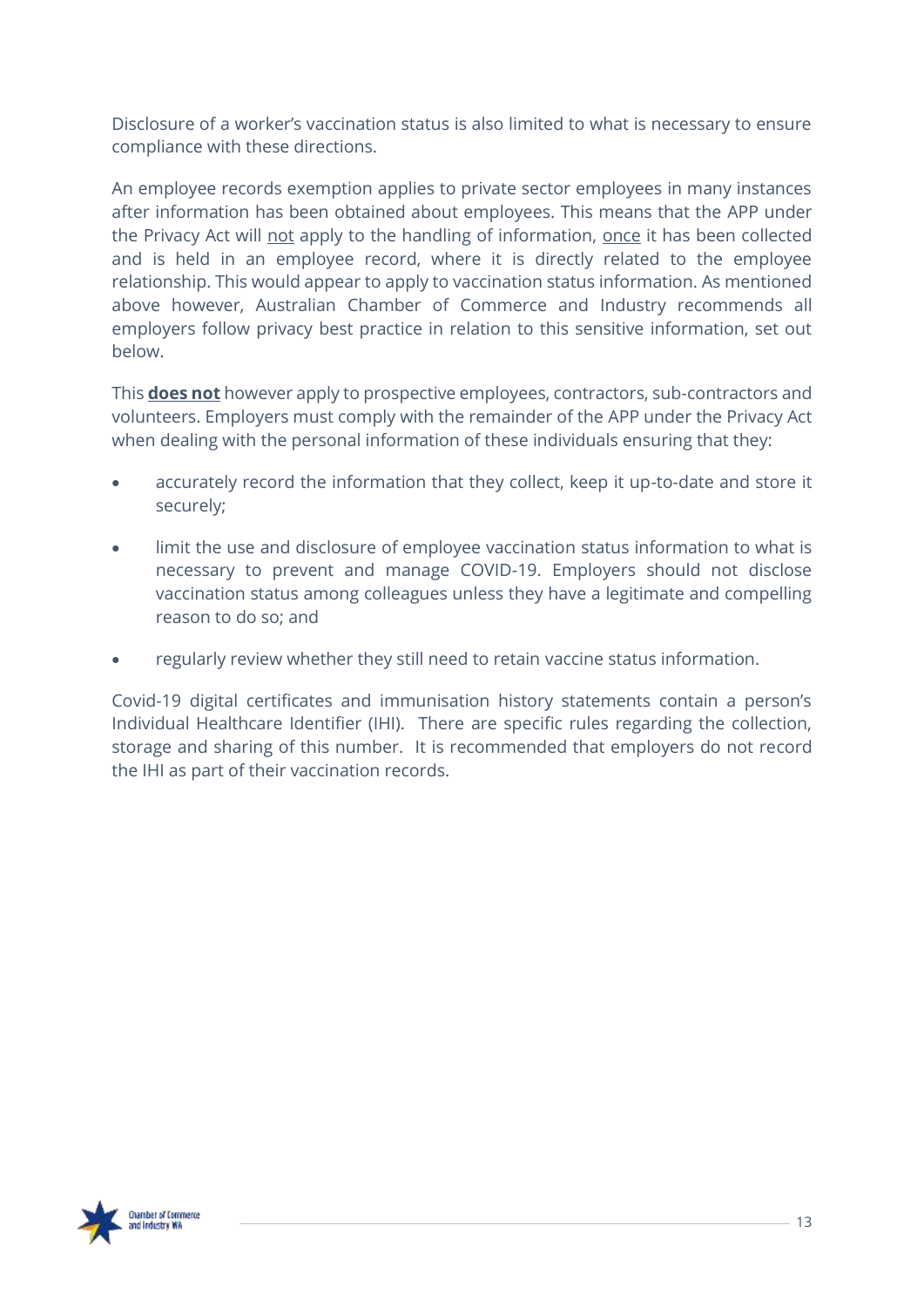Disclosure of a worker's vaccination status is also limited to what is necessary to ensure compliance with these directions.

An employee records exemption applies to private sector employees in many instances after information has been obtained about employees. This means that the APP under the Privacy Act will not apply to the handling of information, once it has been collected and is held in an employee record, where it is directly related to the employee relationship. This would appear to apply to vaccination status information. As mentioned above however, Australian Chamber of Commerce and Industry recommends all employers follow privacy best practice in relation to this sensitive information, set out below.

This **does not** however apply to prospective employees, contractors, sub-contractors and volunteers. Employers must comply with the remainder of the APP under the Privacy Act when dealing with the personal information of these individuals ensuring that they:

- accurately record the information that they collect, keep it up-to-date and store it securely;
- limit the use and disclosure of employee vaccination status information to what is necessary to prevent and manage COVID-19. Employers should not disclose vaccination status among colleagues unless they have a legitimate and compelling reason to do so; and
- regularly review whether they still need to retain vaccine status information.

Covid-19 digital certificates and immunisation history statements contain a person's Individual Healthcare Identifier (IHI). There are specific rules regarding the collection, storage and sharing of this number. It is recommended that employers do not record the IHI as part of their vaccination records.

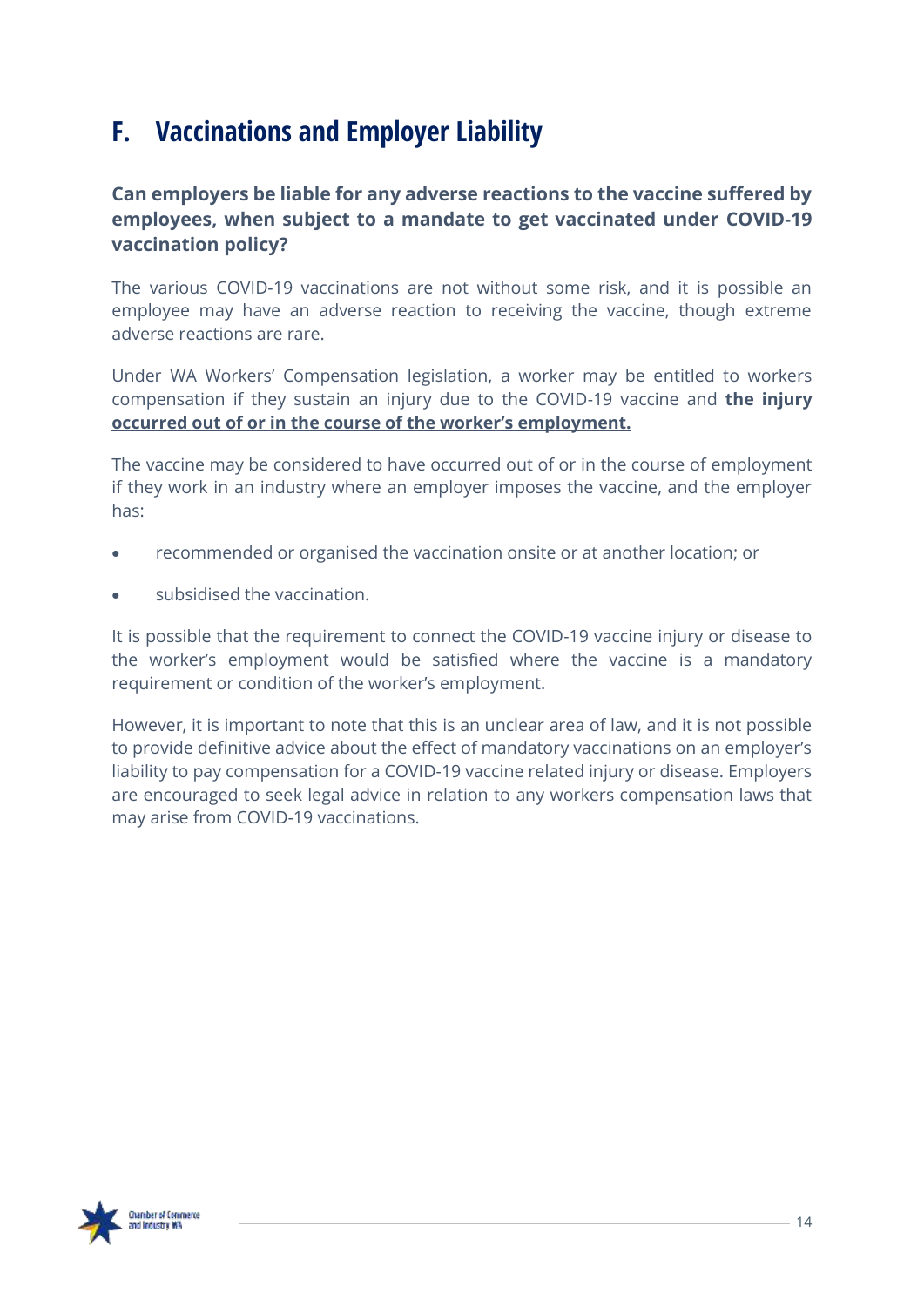### <span id="page-13-0"></span>**F. Vaccinations and Employer Liability**

### **Can employers be liable for any adverse reactions to the vaccine suffered by employees, when subject to a mandate to get vaccinated under COVID-19 vaccination policy?**

The various COVID-19 vaccinations are not without some risk, and it is possible an employee may have an adverse reaction to receiving the vaccine, though extreme adverse reactions are rare.

Under WA Workers' Compensation legislation, a worker may be entitled to workers compensation if they sustain an injury due to the COVID-19 vaccine and **the injury occurred out of or in the course of the worker's employment.** 

The vaccine may be considered to have occurred out of or in the course of employment if they work in an industry where an employer imposes the vaccine, and the employer has:

- recommended or organised the vaccination onsite or at another location; or
- subsidised the vaccination.

It is possible that the requirement to connect the COVID-19 vaccine injury or disease to the worker's employment would be satisfied where the vaccine is a mandatory requirement or condition of the worker's employment.

However, it is important to note that this is an unclear area of law, and it is not possible to provide definitive advice about the effect of mandatory vaccinations on an employer's liability to pay compensation for a COVID-19 vaccine related injury or disease. Employers are encouraged to seek legal advice in relation to any workers compensation laws that may arise from COVID-19 vaccinations.

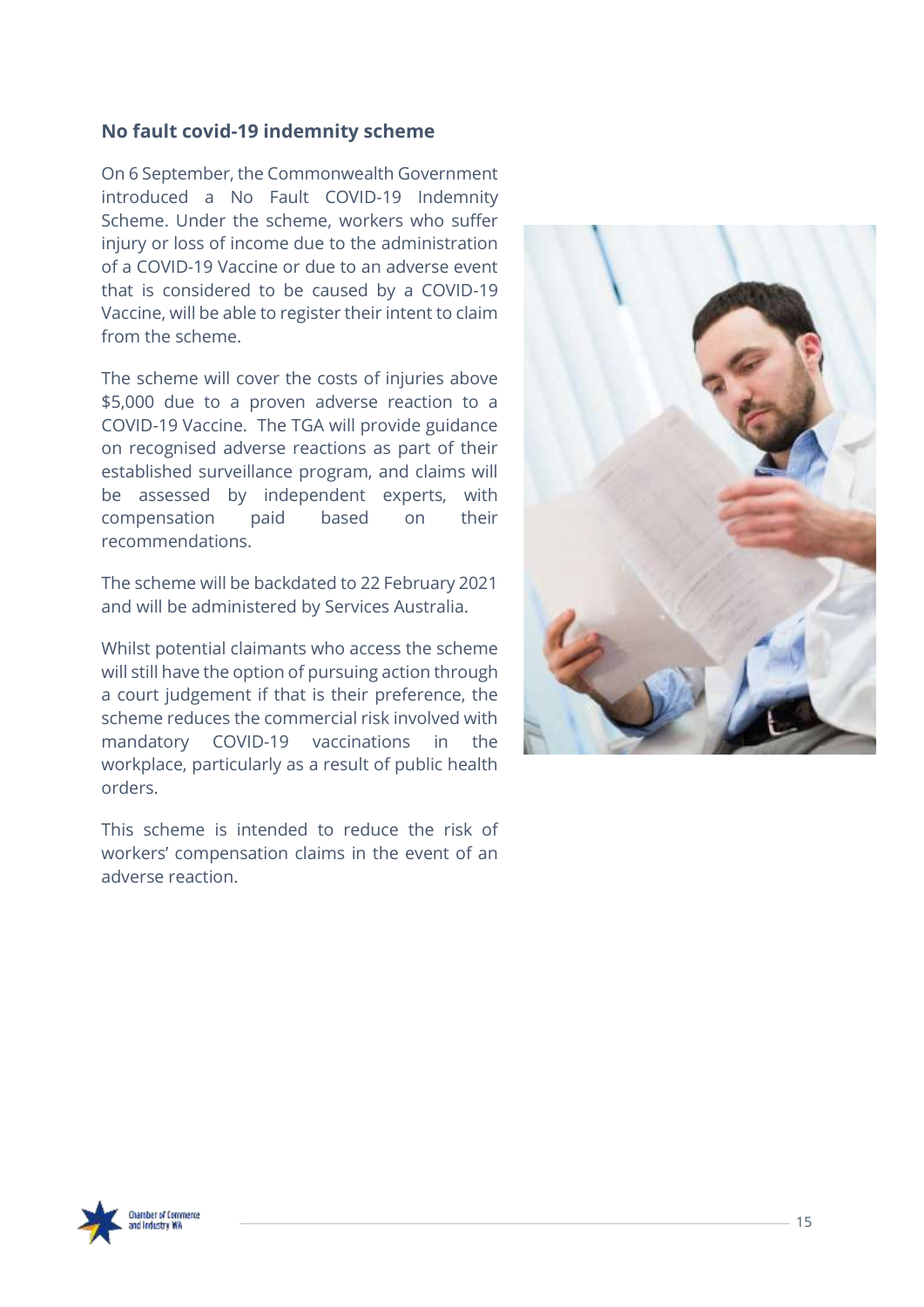#### **No fault covid-19 indemnity scheme**

On 6 September, the Commonwealth Government introduced a No Fault COVID-19 Indemnity Scheme. Under the scheme, workers who suffer injury or loss of income due to the administration of a COVID-19 Vaccine or due to an adverse event that is considered to be caused by a COVID-19 Vaccine, will be able to register their intent to claim from the scheme.

The scheme will cover the costs of injuries above \$5,000 due to a proven adverse reaction to a COVID-19 Vaccine. The TGA will provide guidance on recognised adverse reactions as part of their established surveillance program, and claims will be assessed by independent experts, with compensation paid based on their recommendations.

The scheme will be backdated to 22 February 2021 and will be administered by Services Australia.

Whilst potential claimants who access the scheme will still have the option of pursuing action through a court judgement if that is their preference, the scheme reduces the commercial risk involved with mandatory COVID-19 vaccinations in the workplace, particularly as a result of public health orders.

This scheme is intended to reduce the risk of workers' compensation claims in the event of an adverse reaction.



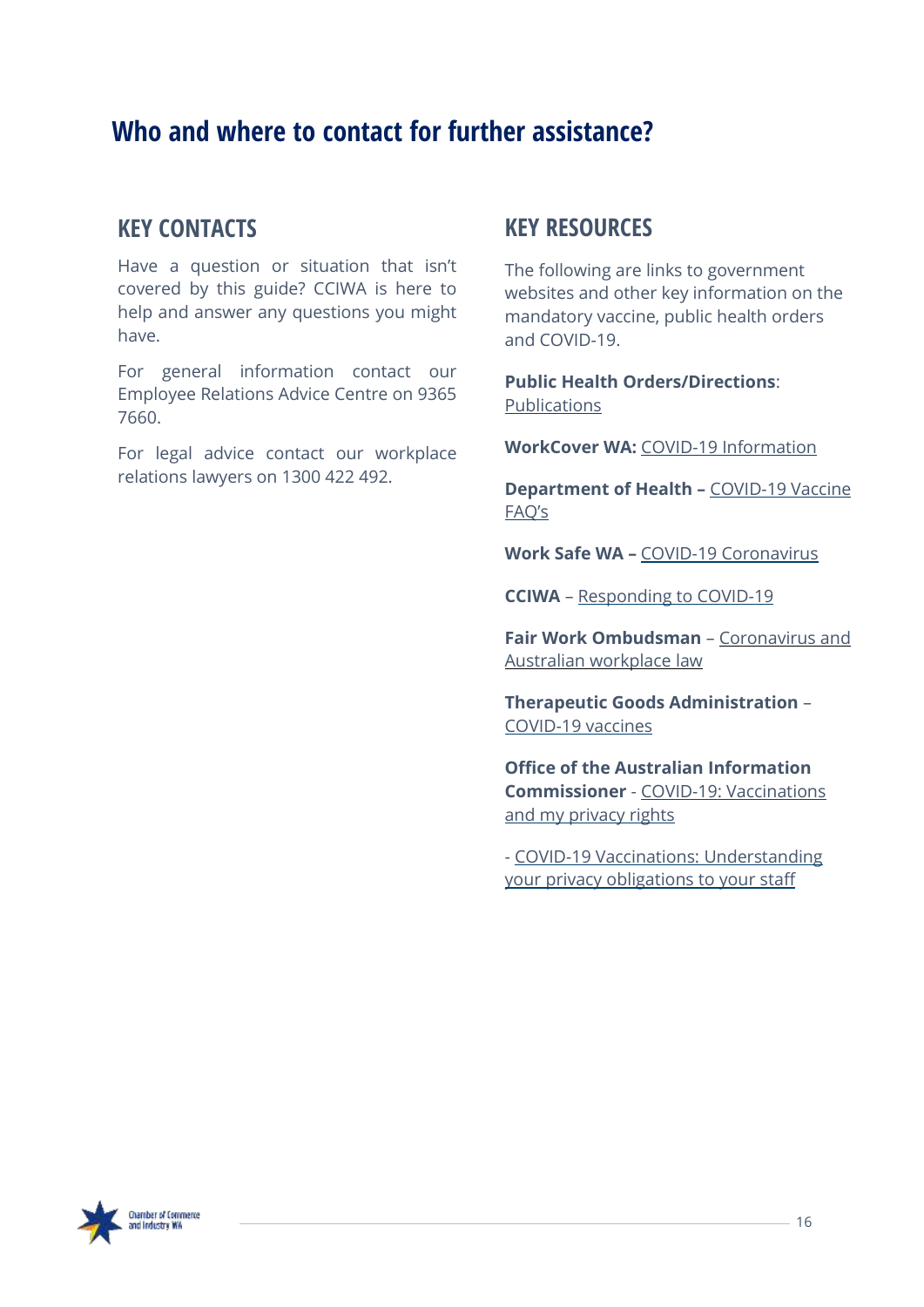### <span id="page-15-0"></span>**Who and where to contact for further assistance?**

### **KEY CONTACTS**

Have a question or situation that isn't covered by this guide? CCIWA is here to help and answer any questions you might have.

For general information contact our Employee Relations Advice Centre on 9365 7660.

For legal advice contact our workplace relations lawyers on 1300 422 492.

### **KEY RESOURCES**

The following are links to government websites and other key information on the mandatory vaccine, public health orders and COVID-19.

**Public Health Orders/Directions**: [Publications](https://www.wa.gov.au/government/document-collections/covid-19-coronavirus-mandatory-vaccination)

**WorkCover WA:** COVID-19 [Information](https://www.workcover.wa.gov.au/news-archive/covid-19-bulletins/)

**Department of Health –** [COVID-19](https://www.healthywa.wa.gov.au/COVID19vaccineFAQs) Vaccine [FAQ's](https://www.healthywa.wa.gov.au/COVID19vaccineFAQs)

**Work Safe WA –** COVID-19 [Coronavirus](https://www.commerce.wa.gov.au/worksafe/covid-19-coronavirus)

**CCIWA** – [Responding](https://covid19.cciwa.com/?utm_source=landing+page&utm_medium=PDF&utm_campaign=wa_vaccination_guide) to COVID-19

**Fair Work Ombudsman** – [Coronavirus](https://coronavirus.fairwork.gov.au/) and Australian [workplace](https://coronavirus.fairwork.gov.au/) law

**Therapeutic Goods Administration** – [COVID-19](https://www.tga.gov.au/covid-19-vaccines) vaccines

**Office of the Australian Information Commissioner** - COVID-19: [Vaccinations](https://www.oaic.gov.au/privacy/covid-19/covid-19-vaccinations-and-my-privacy-rights-as-an-employee/) and my [privacy](https://www.oaic.gov.au/privacy/covid-19/covid-19-vaccinations-and-my-privacy-rights-as-an-employee/) rights

- COVID-19 Vaccinations: [Understanding](https://www.oaic.gov.au/privacy/guidance-and-advice/coronavirus-covid-19-vaccinations-understanding-your-privacy-obligations-to-your-staff/) your privacy [obligations](https://www.oaic.gov.au/privacy/guidance-and-advice/coronavirus-covid-19-vaccinations-understanding-your-privacy-obligations-to-your-staff/) to your staff